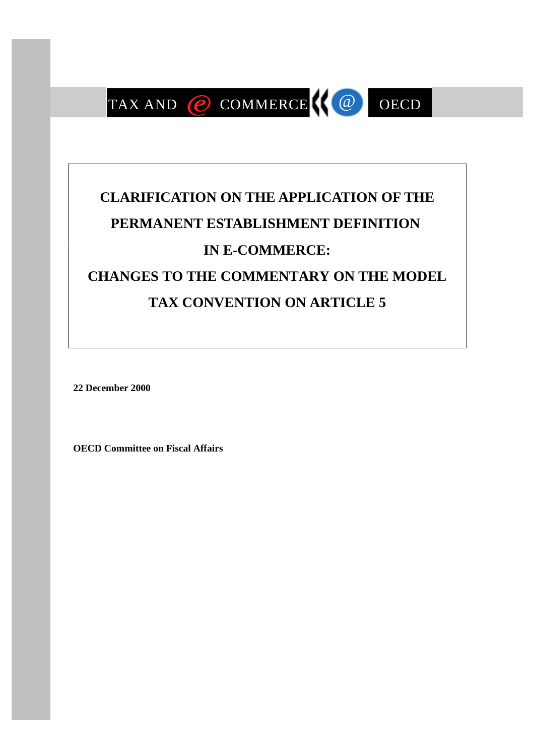

# **CLARIFICATION ON THE APPLICATION OF THE PERMANENT ESTABLISHMENT DEFINITION IN E-COMMERCE: CHANGES TO THE COMMENTARY ON THE MODEL TAX CONVENTION ON ARTICLE 5**

**22 December 2000**

**OECD Committee on Fiscal Affairs**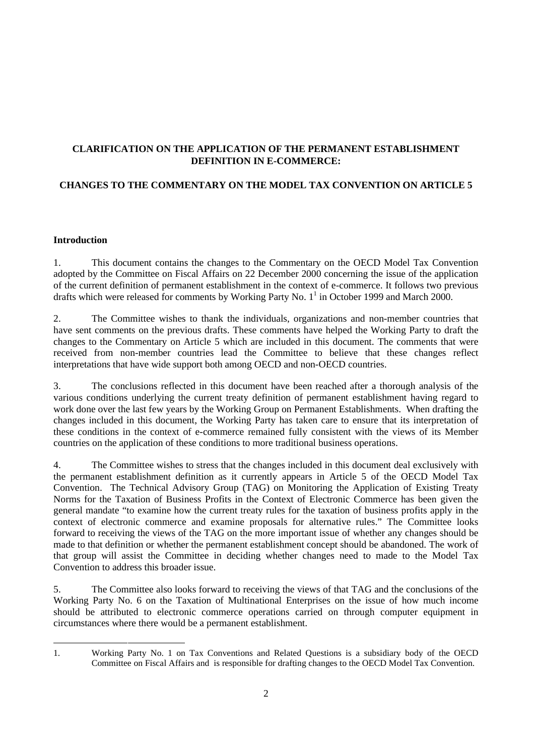# **CLARIFICATION ON THE APPLICATION OF THE PERMANENT ESTABLISHMENT DEFINITION IN E-COMMERCE:**

# **CHANGES TO THE COMMENTARY ON THE MODEL TAX CONVENTION ON ARTICLE 5**

### **Introduction**

1. This document contains the changes to the Commentary on the OECD Model Tax Convention adopted by the Committee on Fiscal Affairs on 22 December 2000 concerning the issue of the application of the current definition of permanent establishment in the context of e-commerce. It follows two previous drafts which were released for comments by Working Party No.  $1^1$  in October 1999 and March 2000.

2. The Committee wishes to thank the individuals, organizations and non-member countries that have sent comments on the previous drafts. These comments have helped the Working Party to draft the changes to the Commentary on Article 5 which are included in this document. The comments that were received from non-member countries lead the Committee to believe that these changes reflect interpretations that have wide support both among OECD and non-OECD countries.

3. The conclusions reflected in this document have been reached after a thorough analysis of the various conditions underlying the current treaty definition of permanent establishment having regard to work done over the last few years by the Working Group on Permanent Establishments. When drafting the changes included in this document, the Working Party has taken care to ensure that its interpretation of these conditions in the context of e-commerce remained fully consistent with the views of its Member countries on the application of these conditions to more traditional business operations.

4. The Committee wishes to stress that the changes included in this document deal exclusively with the permanent establishment definition as it currently appears in Article 5 of the OECD Model Tax Convention. The Technical Advisory Group (TAG) on Monitoring the Application of Existing Treaty Norms for the Taxation of Business Profits in the Context of Electronic Commerce has been given the general mandate "to examine how the current treaty rules for the taxation of business profits apply in the context of electronic commerce and examine proposals for alternative rules." The Committee looks forward to receiving the views of the TAG on the more important issue of whether any changes should be made to that definition or whether the permanent establishment concept should be abandoned. The work of that group will assist the Committee in deciding whether changes need to made to the Model Tax Convention to address this broader issue.

5. The Committee also looks forward to receiving the views of that TAG and the conclusions of the Working Party No. 6 on the Taxation of Multinational Enterprises on the issue of how much income should be attributed to electronic commerce operations carried on through computer equipment in circumstances where there would be a permanent establishment.

<sup>-</sup>1. Working Party No. 1 on Tax Conventions and Related Questions is a subsidiary body of the OECD Committee on Fiscal Affairs and is responsible for drafting changes to the OECD Model Tax Convention.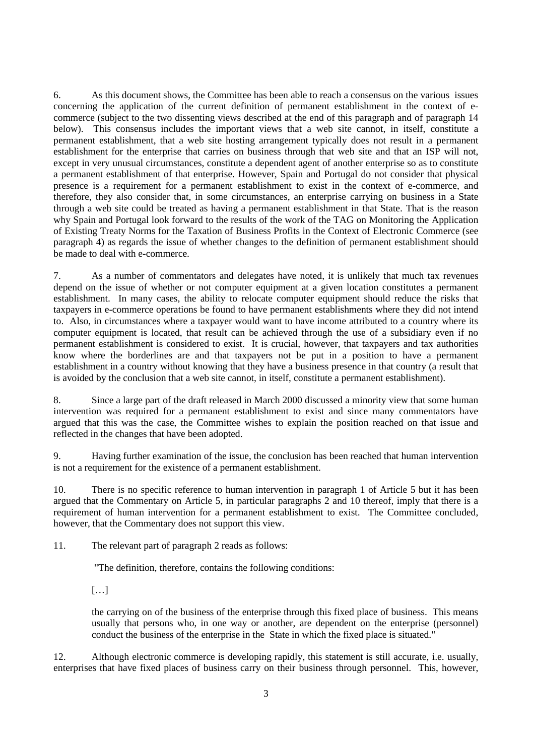6. As this document shows, the Committee has been able to reach a consensus on the various issues concerning the application of the current definition of permanent establishment in the context of ecommerce (subject to the two dissenting views described at the end of this paragraph and of paragraph 14 below). This consensus includes the important views that a web site cannot, in itself, constitute a permanent establishment, that a web site hosting arrangement typically does not result in a permanent establishment for the enterprise that carries on business through that web site and that an ISP will not, except in very unusual circumstances, constitute a dependent agent of another enterprise so as to constitute a permanent establishment of that enterprise. However, Spain and Portugal do not consider that physical presence is a requirement for a permanent establishment to exist in the context of e-commerce, and therefore, they also consider that, in some circumstances, an enterprise carrying on business in a State through a web site could be treated as having a permanent establishment in that State. That is the reason why Spain and Portugal look forward to the results of the work of the TAG on Monitoring the Application of Existing Treaty Norms for the Taxation of Business Profits in the Context of Electronic Commerce (see paragraph 4) as regards the issue of whether changes to the definition of permanent establishment should be made to deal with e-commerce.

7. As a number of commentators and delegates have noted, it is unlikely that much tax revenues depend on the issue of whether or not computer equipment at a given location constitutes a permanent establishment. In many cases, the ability to relocate computer equipment should reduce the risks that taxpayers in e-commerce operations be found to have permanent establishments where they did not intend to. Also, in circumstances where a taxpayer would want to have income attributed to a country where its computer equipment is located, that result can be achieved through the use of a subsidiary even if no permanent establishment is considered to exist. It is crucial, however, that taxpayers and tax authorities know where the borderlines are and that taxpayers not be put in a position to have a permanent establishment in a country without knowing that they have a business presence in that country (a result that is avoided by the conclusion that a web site cannot, in itself, constitute a permanent establishment).

8. Since a large part of the draft released in March 2000 discussed a minority view that some human intervention was required for a permanent establishment to exist and since many commentators have argued that this was the case, the Committee wishes to explain the position reached on that issue and reflected in the changes that have been adopted.

9. Having further examination of the issue, the conclusion has been reached that human intervention is not a requirement for the existence of a permanent establishment.

10. There is no specific reference to human intervention in paragraph 1 of Article 5 but it has been argued that the Commentary on Article 5, in particular paragraphs 2 and 10 thereof, imply that there is a requirement of human intervention for a permanent establishment to exist. The Committee concluded, however, that the Commentary does not support this view.

11. The relevant part of paragraph 2 reads as follows:

"The definition, therefore, contains the following conditions:

[…]

the carrying on of the business of the enterprise through this fixed place of business. This means usually that persons who, in one way or another, are dependent on the enterprise (personnel) conduct the business of the enterprise in the State in which the fixed place is situated."

12. Although electronic commerce is developing rapidly, this statement is still accurate, i.e. usually, enterprises that have fixed places of business carry on their business through personnel. This, however,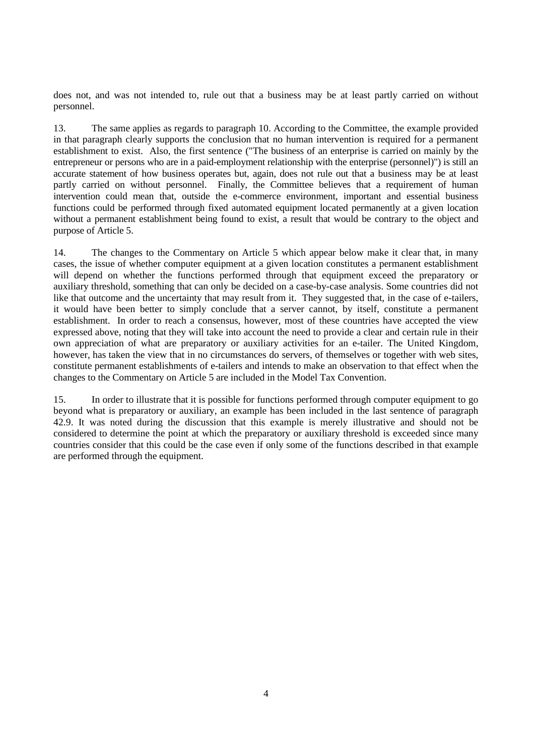does not, and was not intended to, rule out that a business may be at least partly carried on without personnel.

13. The same applies as regards to paragraph 10. According to the Committee, the example provided in that paragraph clearly supports the conclusion that no human intervention is required for a permanent establishment to exist. Also, the first sentence ("The business of an enterprise is carried on mainly by the entrepreneur or persons who are in a paid-employment relationship with the enterprise (personnel)") is still an accurate statement of how business operates but, again, does not rule out that a business may be at least partly carried on without personnel. Finally, the Committee believes that a requirement of human intervention could mean that, outside the e-commerce environment, important and essential business functions could be performed through fixed automated equipment located permanently at a given location without a permanent establishment being found to exist, a result that would be contrary to the object and purpose of Article 5.

14. The changes to the Commentary on Article 5 which appear below make it clear that, in many cases, the issue of whether computer equipment at a given location constitutes a permanent establishment will depend on whether the functions performed through that equipment exceed the preparatory or auxiliary threshold, something that can only be decided on a case-by-case analysis. Some countries did not like that outcome and the uncertainty that may result from it. They suggested that, in the case of e-tailers, it would have been better to simply conclude that a server cannot, by itself, constitute a permanent establishment. In order to reach a consensus, however, most of these countries have accepted the view expressed above, noting that they will take into account the need to provide a clear and certain rule in their own appreciation of what are preparatory or auxiliary activities for an e-tailer. The United Kingdom, however, has taken the view that in no circumstances do servers, of themselves or together with web sites, constitute permanent establishments of e-tailers and intends to make an observation to that effect when the changes to the Commentary on Article 5 are included in the Model Tax Convention.

15. In order to illustrate that it is possible for functions performed through computer equipment to go beyond what is preparatory or auxiliary, an example has been included in the last sentence of paragraph 42.9. It was noted during the discussion that this example is merely illustrative and should not be considered to determine the point at which the preparatory or auxiliary threshold is exceeded since many countries consider that this could be the case even if only some of the functions described in that example are performed through the equipment.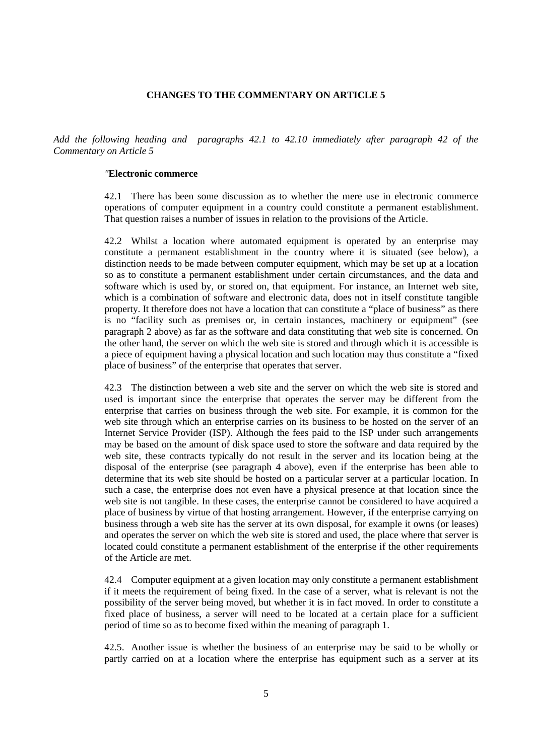## **CHANGES TO THE COMMENTARY ON ARTICLE 5**

*Add the following heading and paragraphs 42.1 to 42.10 immediately after paragraph 42 of the Commentary on Article 5*

#### *"***Electronic commerce**

42.1 There has been some discussion as to whether the mere use in electronic commerce operations of computer equipment in a country could constitute a permanent establishment. That question raises a number of issues in relation to the provisions of the Article.

42.2 Whilst a location where automated equipment is operated by an enterprise may constitute a permanent establishment in the country where it is situated (see below), a distinction needs to be made between computer equipment, which may be set up at a location so as to constitute a permanent establishment under certain circumstances, and the data and software which is used by, or stored on, that equipment. For instance, an Internet web site, which is a combination of software and electronic data, does not in itself constitute tangible property. It therefore does not have a location that can constitute a "place of business" as there is no "facility such as premises or, in certain instances, machinery or equipment" (see paragraph 2 above) as far as the software and data constituting that web site is concerned. On the other hand, the server on which the web site is stored and through which it is accessible is a piece of equipment having a physical location and such location may thus constitute a "fixed place of business" of the enterprise that operates that server.

42.3 The distinction between a web site and the server on which the web site is stored and used is important since the enterprise that operates the server may be different from the enterprise that carries on business through the web site. For example, it is common for the web site through which an enterprise carries on its business to be hosted on the server of an Internet Service Provider (ISP). Although the fees paid to the ISP under such arrangements may be based on the amount of disk space used to store the software and data required by the web site, these contracts typically do not result in the server and its location being at the disposal of the enterprise (see paragraph 4 above), even if the enterprise has been able to determine that its web site should be hosted on a particular server at a particular location. In such a case, the enterprise does not even have a physical presence at that location since the web site is not tangible. In these cases, the enterprise cannot be considered to have acquired a place of business by virtue of that hosting arrangement. However, if the enterprise carrying on business through a web site has the server at its own disposal, for example it owns (or leases) and operates the server on which the web site is stored and used, the place where that server is located could constitute a permanent establishment of the enterprise if the other requirements of the Article are met.

42.4 Computer equipment at a given location may only constitute a permanent establishment if it meets the requirement of being fixed. In the case of a server, what is relevant is not the possibility of the server being moved, but whether it is in fact moved. In order to constitute a fixed place of business, a server will need to be located at a certain place for a sufficient period of time so as to become fixed within the meaning of paragraph 1.

42.5. Another issue is whether the business of an enterprise may be said to be wholly or partly carried on at a location where the enterprise has equipment such as a server at its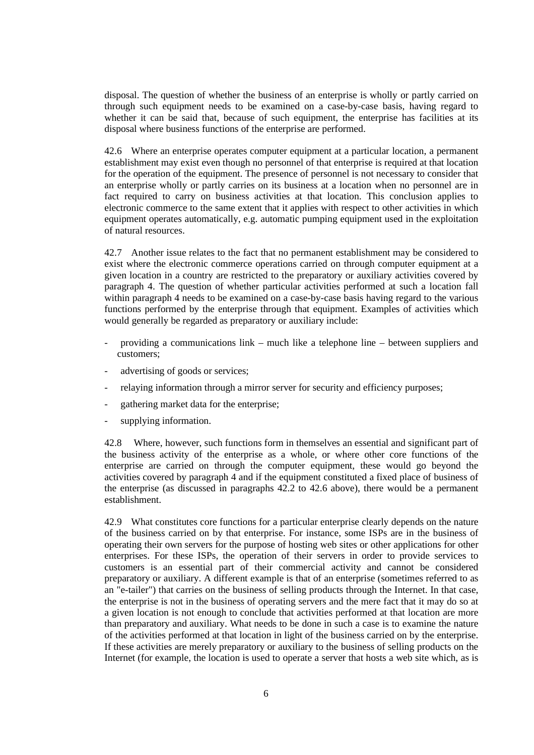disposal. The question of whether the business of an enterprise is wholly or partly carried on through such equipment needs to be examined on a case-by-case basis, having regard to whether it can be said that, because of such equipment, the enterprise has facilities at its disposal where business functions of the enterprise are performed.

42.6 Where an enterprise operates computer equipment at a particular location, a permanent establishment may exist even though no personnel of that enterprise is required at that location for the operation of the equipment. The presence of personnel is not necessary to consider that an enterprise wholly or partly carries on its business at a location when no personnel are in fact required to carry on business activities at that location. This conclusion applies to electronic commerce to the same extent that it applies with respect to other activities in which equipment operates automatically, e.g. automatic pumping equipment used in the exploitation of natural resources.

42.7 Another issue relates to the fact that no permanent establishment may be considered to exist where the electronic commerce operations carried on through computer equipment at a given location in a country are restricted to the preparatory or auxiliary activities covered by paragraph 4. The question of whether particular activities performed at such a location fall within paragraph 4 needs to be examined on a case-by-case basis having regard to the various functions performed by the enterprise through that equipment. Examples of activities which would generally be regarded as preparatory or auxiliary include:

- providing a communications link much like a telephone line between suppliers and customers;
- advertising of goods or services;
- relaying information through a mirror server for security and efficiency purposes;
- gathering market data for the enterprise;
- supplying information.

42.8 Where, however, such functions form in themselves an essential and significant part of the business activity of the enterprise as a whole, or where other core functions of the enterprise are carried on through the computer equipment, these would go beyond the activities covered by paragraph 4 and if the equipment constituted a fixed place of business of the enterprise (as discussed in paragraphs 42.2 to 42.6 above), there would be a permanent establishment.

42.9 What constitutes core functions for a particular enterprise clearly depends on the nature of the business carried on by that enterprise. For instance, some ISPs are in the business of operating their own servers for the purpose of hosting web sites or other applications for other enterprises. For these ISPs, the operation of their servers in order to provide services to customers is an essential part of their commercial activity and cannot be considered preparatory or auxiliary. A different example is that of an enterprise (sometimes referred to as an "e-tailer") that carries on the business of selling products through the Internet. In that case, the enterprise is not in the business of operating servers and the mere fact that it may do so at a given location is not enough to conclude that activities performed at that location are more than preparatory and auxiliary. What needs to be done in such a case is to examine the nature of the activities performed at that location in light of the business carried on by the enterprise. If these activities are merely preparatory or auxiliary to the business of selling products on the Internet (for example, the location is used to operate a server that hosts a web site which, as is